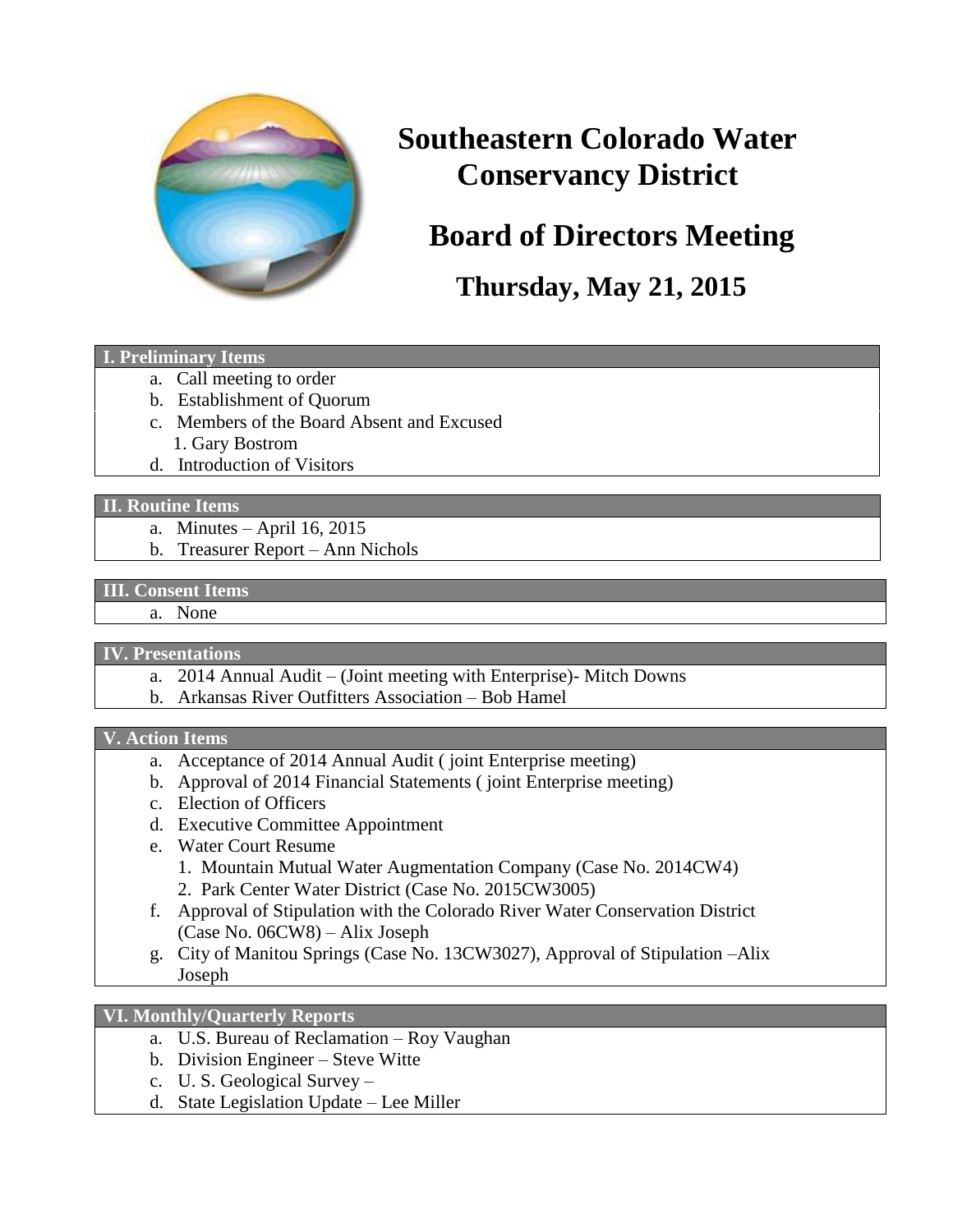

# **Southeastern Colorado Water Conservancy District**

# **Board of Directors Meeting**

**Thursday, May 21, 2015**

#### **I. Preliminary Items**

- a. Call meeting to order
- b. Establishment of Quorum
- c. Members of the Board Absent and Excused 1. Gary Bostrom
- d. Introduction of Visitors

#### **II. Routine Items**

- a. Minutes April 16, 2015
- b. Treasurer Report Ann Nichols

### **III. Consent Items**

a. None

### **IV. Presentations**

- a. 2014 Annual Audit (Joint meeting with Enterprise)- Mitch Downs
- b. Arkansas River Outfitters Association Bob Hamel

#### **V. Action Items**

- a. Acceptance of 2014 Annual Audit ( joint Enterprise meeting)
- b. Approval of 2014 Financial Statements ( joint Enterprise meeting)
- c. Election of Officers
- d. Executive Committee Appointment
- e. Water Court Resume
	- 1. Mountain Mutual Water Augmentation Company (Case No. 2014CW4)
	- 2. Park Center Water District (Case No. 2015CW3005)
- f. Approval of Stipulation with the Colorado River Water Conservation District (Case No. 06CW8) – Alix Joseph
- g. City of Manitou Springs (Case No. 13CW3027), Approval of Stipulation –Alix Joseph

### **VI. Monthly/Quarterly Reports**

- a. U.S. Bureau of Reclamation Roy Vaughan
- b. Division Engineer Steve Witte
- c. U. S. Geological Survey –
- d. State Legislation Update Lee Miller